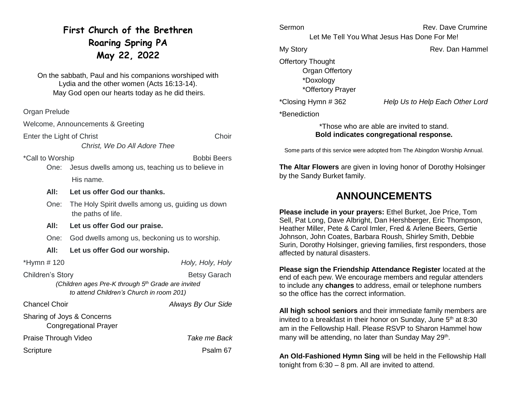# **First Church of the Brethren Roaring Spring PA May 22, 2022**

On the sabbath, Paul and his companions worshiped with Lydia and the other women (Acts 16:13-14). May God open our hearts today as he did theirs.

Organ Prelude

Welcome, Announcements & Greeting

Enter the Light of Christ Choir

\*Call to Worship **Bobbi Beers Bobbi Beers** 

One: Jesus dwells among us, teaching us to believe in His name.

*Christ, We Do All Adore Thee*

- **All: Let us offer God our thanks.**
- One: The Holy Spirit dwells among us, guiding us down the paths of life.
- **All: Let us offer God our praise.**
- One: God dwells among us, beckoning us to worship.
- **All: Let us offer God our worship.**

\*Hymn # 120 *Holy, Holy, Holy*

Children's Story **Betsy Garach** 

*(Children ages Pre-K through 5th Grade are invited to attend Children's Church in room 201)*

Chancel Choir *Always By Our Side*

Sharing of Joys & Concerns Congregational Prayer Praise Through Video *Take me Back* Scripture **Psalm 67** 

Sermon **Rev. Dave Crumrine** Let Me Tell You What Jesus Has Done For Me! My Story **Rev.** Dan Hammel Offertory Thought Organ Offertory \*Doxology \*Offertory Prayer \*Closing Hymn # 362 *Help Us to Help Each Other Lord*

\*Benediction

#### \*Those who are able are invited to stand. **Bold indicates congregational response.**

Some parts of this service were adopted from The Abingdon Worship Annual.

**The Altar Flowers** are given in loving honor of Dorothy Holsinger by the Sandy Burket family.

## **ANNOUNCEMENTS**

**Please include in your prayers:** Ethel Burket, Joe Price, Tom Sell, Pat Long, Dave Albright, Dan Hershberger, Eric Thompson, Heather Miller, Pete & Carol Imler, Fred & Arlene Beers, Gertie Johnson, John Coates, Barbara Roush, Shirley Smith, Debbie Surin, Dorothy Holsinger, grieving families, first responders, those affected by natural disasters.

**Please sign the Friendship Attendance Register** located at the end of each pew. We encourage members and regular attenders to include any **changes** to address, email or telephone numbers so the office has the correct information.

**All high school seniors** and their immediate family members are invited to a breakfast in their honor on Sunday, June  $5<sup>th</sup>$  at 8:30 am in the Fellowship Hall. Please RSVP to Sharon Hammel how many will be attending, no later than Sunday May 29<sup>th</sup>.

**An Old-Fashioned Hymn Sing** will be held in the Fellowship Hall tonight from 6:30 – 8 pm. All are invited to attend.